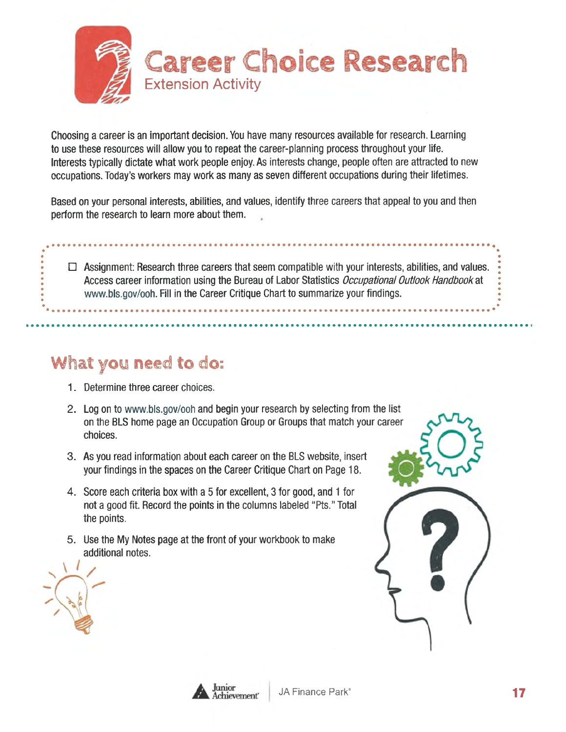

Choosing a career is an important decision. You have many resources available for research. Learning to use these resources will allow you to repeat the career-planning process throughout your life. Interests typically dictate what work people enjoy. As interests change, people often are attracted to new occupations. Today's workers may work as many as seven different occupations during their lifetimes.

Based on your personal interests, abilities, and values, identify three careers that appeal to you and then perform the research to learn more about them.

 $\sqcup$  -Assignment: Research three careers that seem compatible with your interests, abilities, and values. Access career information using the Bureau of Labor Statistics Occupational Outlook Handbook at [www.bls.gov/ooh](http://www.bls.gov/ooh). Fill in the Career Critique Chart to summarize your findings.

# What you need to do:

- 1. Determine three career choices.
- 2. Log on to [www.bls.gov/ooh](http://www.bls.gov/ooh) and begin your research by selecting from the list on the BLS home page an Occupation Group or Groups that match your career choices.
- 3. As you read information about each career on the BLS website, insert your findings in the spaces on the Career Critique Chart on Page 18.
- 4. Score each criteria box with a 5 for excellent, 3 for good, and 1 for not a good fit. Record the points in the columns labeled " Pts." Total the points.
- 5. Use the My Notes page at the front of your workbook to make additional notes.



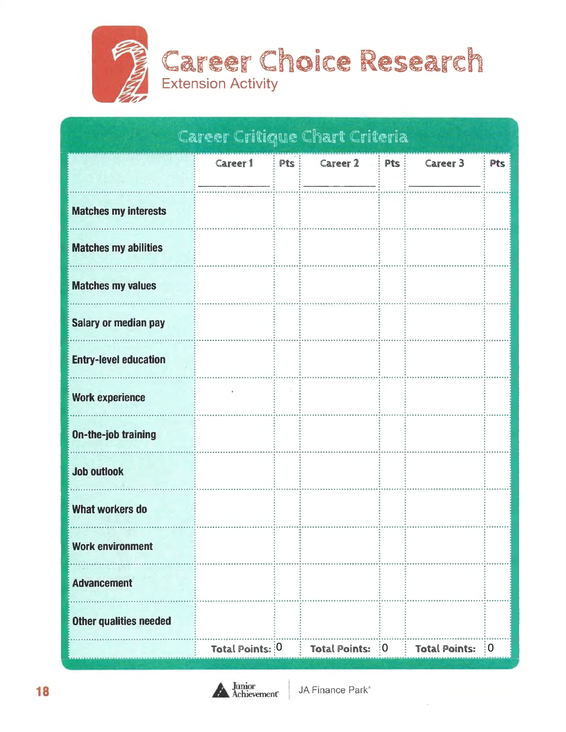

|                               |                 |     | Career Critique Chart Criteria |            |                      |            |
|-------------------------------|-----------------|-----|--------------------------------|------------|----------------------|------------|
|                               | Career 1        | Pts | Career $2$ : Pts :             |            | Career 3             | <b>Pts</b> |
| <b>Matches my interests</b>   |                 |     |                                |            |                      |            |
| <b>Matches my abilities</b>   |                 |     |                                |            |                      |            |
| <b>Matches my values</b>      |                 |     |                                |            |                      |            |
| <b>Salary or median pay</b>   |                 |     |                                |            |                      |            |
| <b>Entry-level education</b>  |                 |     |                                |            |                      |            |
| <b>Work experience</b>        |                 |     |                                |            |                      |            |
| <b>On-the-job training</b>    |                 |     |                                |            |                      |            |
| <b>Job outlook</b>            |                 |     |                                |            |                      |            |
| What workers do               |                 |     |                                |            |                      |            |
| <b>Work environment</b>       |                 |     |                                |            |                      |            |
| <b>Advancement</b>            |                 |     |                                |            |                      |            |
| <b>Other qualities needed</b> |                 |     |                                |            |                      |            |
|                               | Total Points: 0 |     | <b>Total Points:</b>           | $\vdots$ O | <b>Total Points:</b> | ့()        |

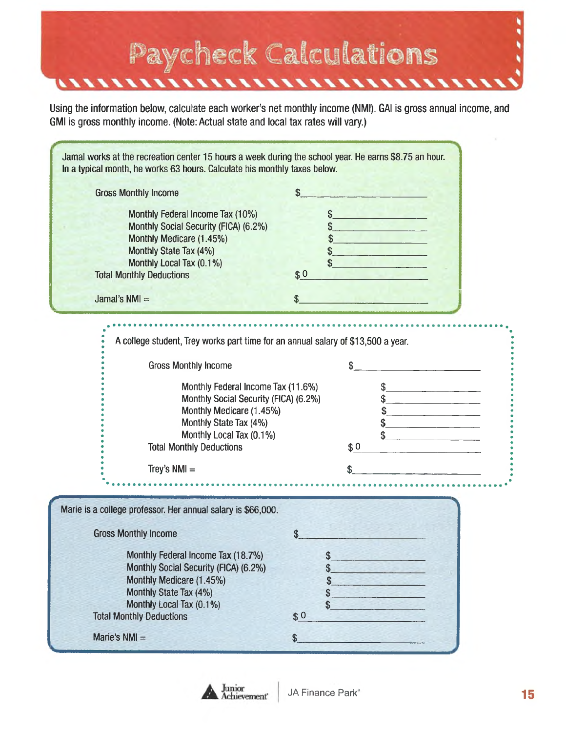

Using the information below, calculate each worker's net monthly income (NMI). GAI is gross annual income, and GMI is gross monthly income. (Note: Actual state and local tax rates will vary.)

| Jamal works at the recreation center 15 hours a week during the school year. He earns \$8.75 an hour.<br>In a typical month, he works 63 hours. Calculate his monthly taxes below.                                                                                                                                                    |                                                           |
|---------------------------------------------------------------------------------------------------------------------------------------------------------------------------------------------------------------------------------------------------------------------------------------------------------------------------------------|-----------------------------------------------------------|
| <b>Gross Monthly Income</b>                                                                                                                                                                                                                                                                                                           | \$                                                        |
| Monthly Federal Income Tax (10%)<br>Monthly Social Security (FICA) (6.2%)<br>Monthly Medicare (1.45%)<br>Monthly State Tax (4%)<br>Monthly Local Tax (0.1%)<br><b>Total Monthly Deductions</b>                                                                                                                                        | \$<br>\$0                                                 |
| Jamal's $NM =$                                                                                                                                                                                                                                                                                                                        | \$                                                        |
| A college student, Trey works part time for an annual salary of \$13,500 a year.<br><b>Gross Monthly Income</b><br>Monthly Federal Income Tax (11.6%)<br>Monthly Social Security (FICA) (6.2%)<br>Monthly Medicare (1.45%)<br>Monthly State Tax (4%)<br>Monthly Local Tax (0.1%)<br><b>Total Monthly Deductions</b><br>Trey's $NMI =$ | <u> 1989 - Johann John Stone, markin san</u><br>\$0<br>\$ |
|                                                                                                                                                                                                                                                                                                                                       |                                                           |
| Marie is a college professor. Her annual salary is \$66,000.                                                                                                                                                                                                                                                                          |                                                           |
| <b>Gross Monthly Income</b>                                                                                                                                                                                                                                                                                                           | \$                                                        |
| Monthly Federal Income Tax (18.7%)<br>Monthly Social Security (FICA) (6.2%)<br>Monthly Medicare (1.45%)<br>Monthly State Tax (4%)<br>Monthly Local Tax (0.1%)<br><b>Total Monthly Deductions</b>                                                                                                                                      | \$<br>\$<br>\$<br>\$<br>S<br>\$0                          |
| Marie's $NMI =$                                                                                                                                                                                                                                                                                                                       | \$                                                        |

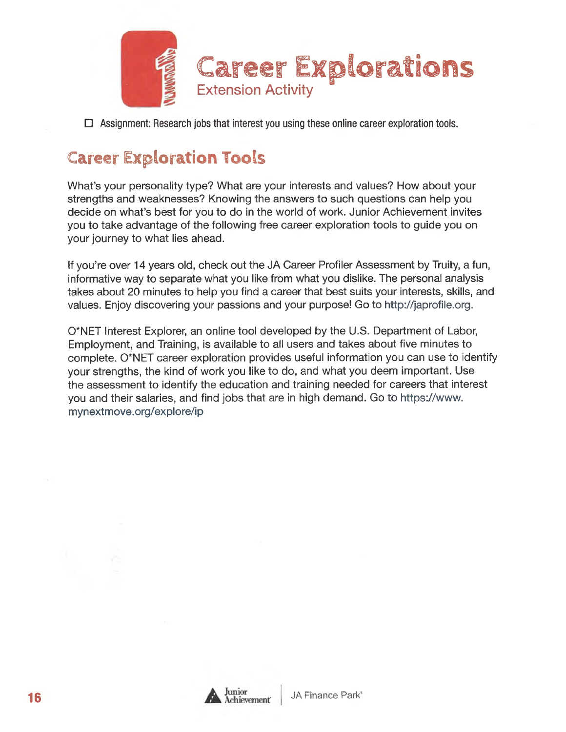

 $\sqcup$  -Assignment: Research jobs that interest you using these online career exploration tools.

#### **Career Exploration Tools**

What's your personality type? What are your interests and values? How about your strengths and weaknesses? Knowing the answers to such questions can help you decide on what's best for you to do in the world of work. Junior Achievement invites you to take advantage of the following free career exploration tools to guide you on your journey to what lies ahead.

If you're over 14 years old, check out the JA Career Profiler Assessment by Truity, a fun, informative way to separate what you like from what you dislike. The personal analysis takes about 20 minutes to help you find a career that best suits your interests, skills, and values. Enjoy discovering your passions and your purpose! Go to [http://japrofile.org.](http://japrofile.org)

0\*NET Interest Explorer, an online tool developed by the U.S. Department of Labor, Employment, and Training, is available to all users and takes about five minutes to complete. 0\*NET career exploration provides useful information you can use to identify your strengths, the kind of work you like to do, and what you deem important. Use the assessment to identify the education and training needed for careers that interest you and their salaries, and find jobs that are in high demand. Go to [https://www.](https://www.mynextmove.org/explore/ip)  [mynextmove.org/explore/ip](https://www.mynextmove.org/explore/ip)

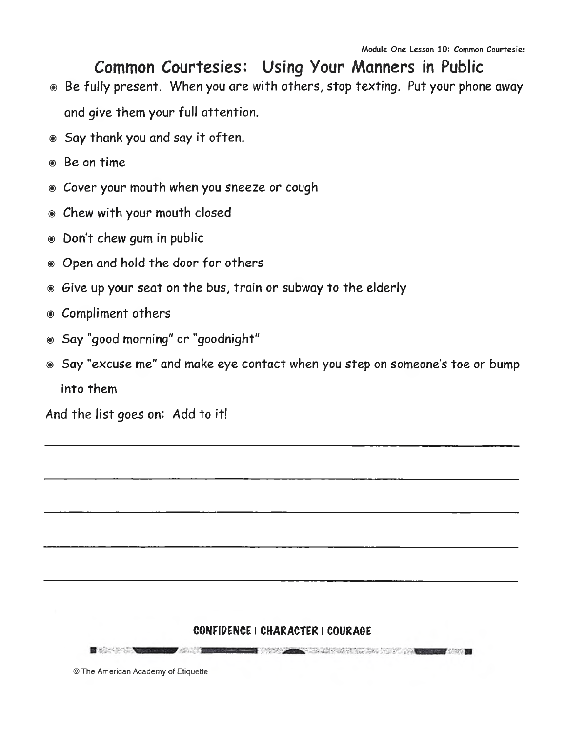## **Common Courtesies: Using Your Manners in Public**

- ® Be fully present. When you are with others, stop texting. Put your phone away and give them your full attention.
- ® Say thank you and say it often.
- ® Be on time
- ® Cover your mouth when you sneeze or cough
- ® Chew with your mouth closed
- ® Don't chew gum in public
- $\circ$  Open and hold the door for others
- ® Give up your seat on the bus, train or subway to the elderly
- ® Compliment others
- ® Say "good morning" or "goodnight"
- ® Say "excuse me" and make eye contact when you step on someone's toe or bump into them

And the list goes on: *Add* to it!

#### CONFIDENCE I CHARACTER I COURAGE

**E** the contract of the contract of the market when the control of the control of the control of the control of the control of the control of the control of the control of the control of the control of the control of the control of the control of the control of